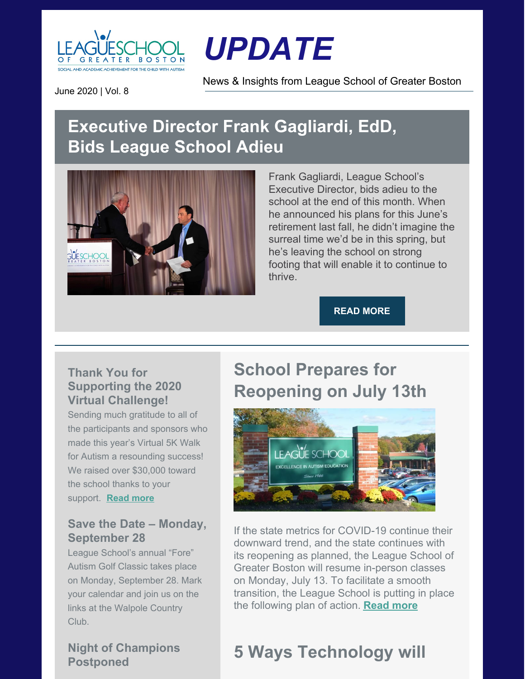

# *UPDATE*

News & Insights from League School of Greater Boston

June 2020 | Vol. 8

### **Executive Director Frank Gagliardi, EdD, Bids League School Adieu**



Frank Gagliardi, League School's Executive Director, bids adieu to the school at the end of this month. When he announced his plans for this June's retirement last fall, he didn't imagine the surreal time we'd be in this spring, but he's leaving the school on strong footing that will enable it to continue to thrive.

#### **READ [MORE](https://leagueschool.org/executive-director-frank-gagliardi-edd-bids-league-school-adieu/)**

### **Thank You for Supporting the 2020 Virtual Challenge!**

Sending much gratitude to all of the participants and sponsors who made this year's Virtual 5K Walk for Autism a resounding success! We raised over \$30,000 toward the school thanks to your support. **[Read](https://leagueschool.org/thank-you-for-supporting-the-2020-virtual-challenge/) more**

#### **Save the Date – Monday, September 28**

League School's annual "Fore" Autism Golf Classic takes place on Monday, September 28. Mark your calendar and join us on the links at the Walpole Country Club.

### **Night of Champions Postponed**

### **School Prepares for Reopening on July 13th**



If the state metrics for COVID-19 continue their downward trend, and the state continues with its reopening as planned, the League School of Greater Boston will resume in-person classes on Monday, July 13. To facilitate a smooth transition, the League School is putting in place the following plan of action. **[Read](https://leagueschool.org/update-school-prepares-for-july-13-reopening/) more**

# **5 Ways Technology will**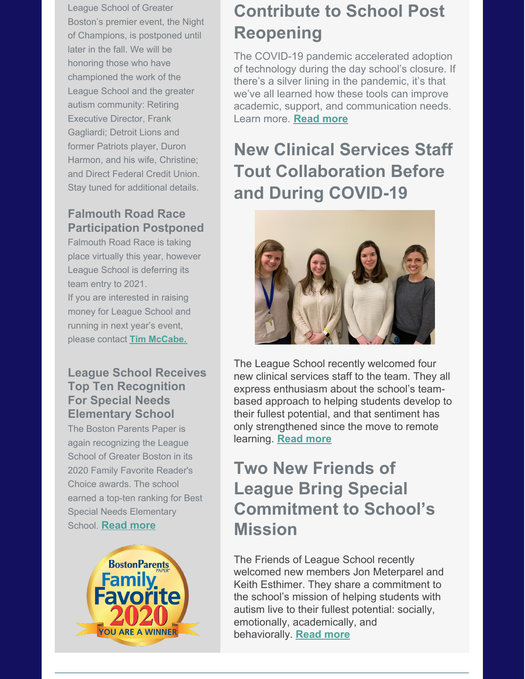League School of Greater Boston's premier event, the Night of Champions, is postponed until later in the fall. We will be honoring those who have championed the work of the League School and the greater autism community: Retiring Executive Director, Frank Gagliardi; Detroit Lions and former Patriots player, Duron Harmon, and his wife, Christine; and Direct Federal Credit Union. Stay tuned for additional details.

### **Falmouth Road Race Participation Postponed**

Falmouth Road Race is taking place virtually this year, however League School is deferring its team entry to 2021. If you are interested in raising money for League School and running in next year's event, please contact **Tim [McCabe.](mailto:tmccabe@leagueschool.com)**

### **League School Receives Top Ten Recognition For Special Needs Elementary School**

The Boston Parents Paper is again recognizing the League School of Greater Boston in its 2020 Family Favorite Reader's Choice awards. The school earned a top-ten ranking for Best Special Needs Elementary School. **[Read](https://leagueschool.org/league-school-receives-top-ten-recognition-for-special-needs-elementary-school/) more**



## **Contribute to School Post Reopening**

The COVID-19 pandemic accelerated adoption of technology during the day school's closure. If there's a silver lining in the pandemic, it's that we've all learned how these tools can improve academic, support, and communication needs. Learn more. **[Read](https://leagueschool.org/5-ways-technology-will-contribute-to-school-post-reopening/) more**

# **New Clinical Services Staff Tout Collaboration Before and During COVID-19**



The League School recently welcomed four new clinical services staff to the team. They all express enthusiasm about the school's teambased approach to helping students develop to their fullest potential, and that sentiment has only strengthened since the move to remote learning. **[Read](https://leagueschool.org/new-clinical-services-staff-tout-team-collaboration-before-and-during-covid-19/) more**

### **Two New Friends of League Bring Special Commitment to School's Mission**

The Friends of League School recently welcomed new members Jon Meterparel and Keith Esthimer. They share a commitment to the school's mission of helping students with autism live to their fullest potential: socially, emotionally, academically, and behaviorally. **[Read](https://leagueschool.org/two-new-friends-of-league-bring-special-commitment-to-schools-mission/) more**